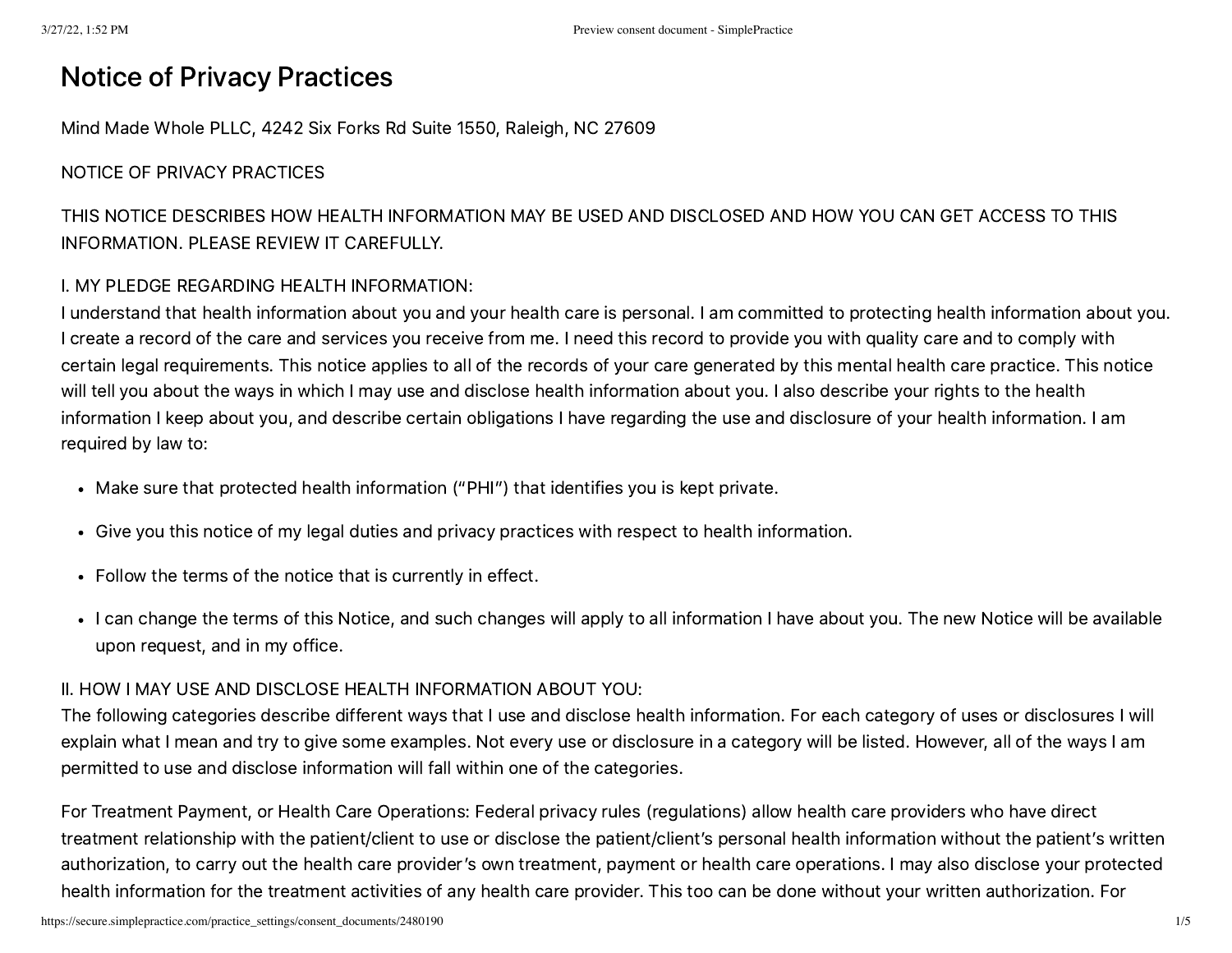# Notice of Privacy Practices

Mind Made Whole PLLC, 4242 Six Forks Rd Suite 1550, Raleigh, NC 27609

### NOTICE OF PRIVACY PRACTICES

THIS NOTICE DESCRIBES HOW HEALTH INFORMATION MAY BE USED AND DISCLOSED AND HOW YOU CAN GET ACCESS TO THIS INFORMATION. PLEASE REVIEW IT CAREFULLY.

### I. MY PLEDGE REGARDING HEALTH INFORMATION:

I understand that health information about you and your health care is personal. I am committed to protecting health information about you. I create a record of the care and services you receive from me. I need this record to provide you with quality care and to comply with certain legal requirements. This notice applies to all of the records of your care generated by this mental health care practice. This notice will tell you about the ways in which I may use and disclose health information about you. I also describe your rights to the health information I keep about you, and describe certain obligations I have regarding the use and disclosure of your health information. I am required by law to:

- Make sure that protected health information ("PHI") that identifies you is kept private.
- Give you this notice of my legal duties and privacy practices with respect to health information.
- Follow the terms of the notice that is currently in effect.
- I can change the terms of this Notice, and such changes will apply to all information I have about you. The new Notice will be available upon request, and in my office.

### II. HOW I MAY USE AND DISCLOSE HEALTH INFORMATION ABOUT YOU:

The following categories describe different ways that I use and disclose health information. For each category of uses or disclosures I will explain what I mean and try to give some examples. Not every use or disclosure in a category will be listed. However, all of the ways I am permitted to use and disclose information will fall within one of the categories.

For Treatment Payment, or Health Care Operations: Federal privacy rules (regulations) allow health care providers who have direct treatment relationship with the patient/client to use or disclose the patient/client's personal health information without the patient's written authorization, to carry out the health care provider's own treatment, payment or health care operations. I may also disclose your protected health information for the treatment activities of any health care provider. This too can be done without your written authorization. For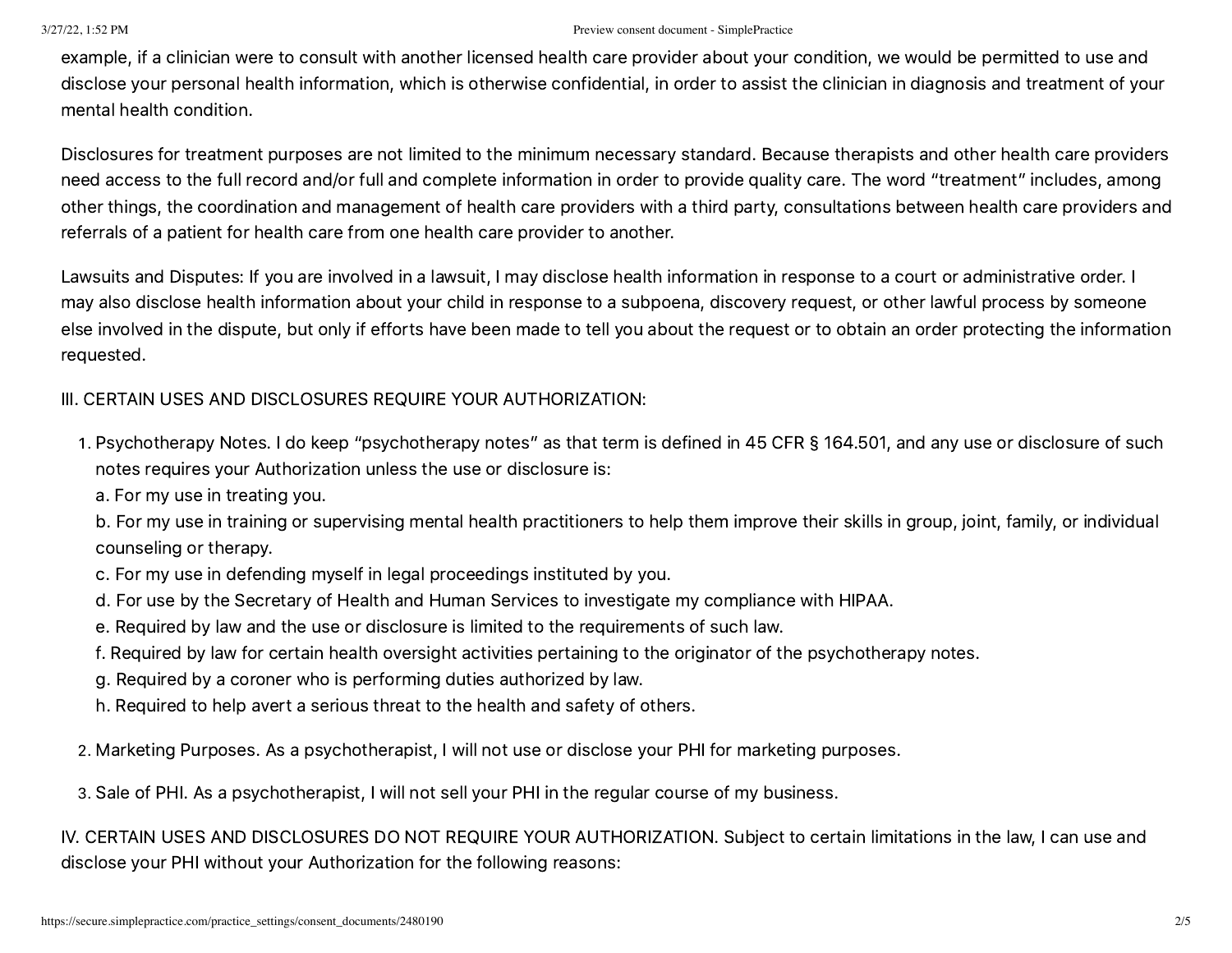example, if a clinician were to consult with another licensed health care provider about your condition, we would be permitted to use and disclose your personal health information, which is otherwise confidential, in order to assist the clinician in diagnosis and treatment of your mental health condition.

Disclosures for treatment purposes are not limited to the minimum necessary standard. Because therapists and other health care providers need access to the full record and/or full and complete information in order to provide quality care. The word "treatment" includes, among other things, the coordination and management of health care providers with a third party, consultations between health care providers and referrals of a patient for health care from one health care provider to another.

Lawsuits and Disputes: If you are involved in a lawsuit, I may disclose health information in response to a court or administrative order. I may also disclose health information about your child in response to a subpoena, discovery request, or other lawful process by someone else involved in the dispute, but only if efforts have been made to tell you about the request or to obtain an order protecting the information requested.

### III. CERTAIN USES AND DISCLOSURES REQUIRE YOUR AUTHORIZATION:

- . Psychotherapy Notes. I do keep "psychotherapy notes" as that term is defined in 45 CFR § 164.501, and any use or disclosure of such notes requires your Authorization unless the use or disclosure is:
	- a. For my use in treating you.

b. For my use in training or supervising mental health practitioners to help them improve their skills in group, joint, family, or individual counseling or therapy.

- c. For my use in defending myself in legal proceedings instituted by you.
- d. For use by the Secretary of Health and Human Services to investigate my compliance with HIPAA.
- e. Required by law and the use or disclosure is limited to the requirements of such law.
- f. Required by law for certain health oversight activities pertaining to the originator of the psychotherapy notes.
- g. Required by a coroner who is performing duties authorized by law.
- h. Required to help avert a serious threat to the health and safety of others.

. Marketing Purposes. As a psychotherapist, I will not use or disclose your PHI for marketing purposes.

. Sale of PHI. As a psychotherapist, I will not sell your PHI in the regular course of my business.

IV. CERTAIN USES AND DISCLOSURES DO NOT REQUIRE YOUR AUTHORIZATION. Subject to certain limitations in the law, I can use and disclose your PHI without your Authorization for the following reasons: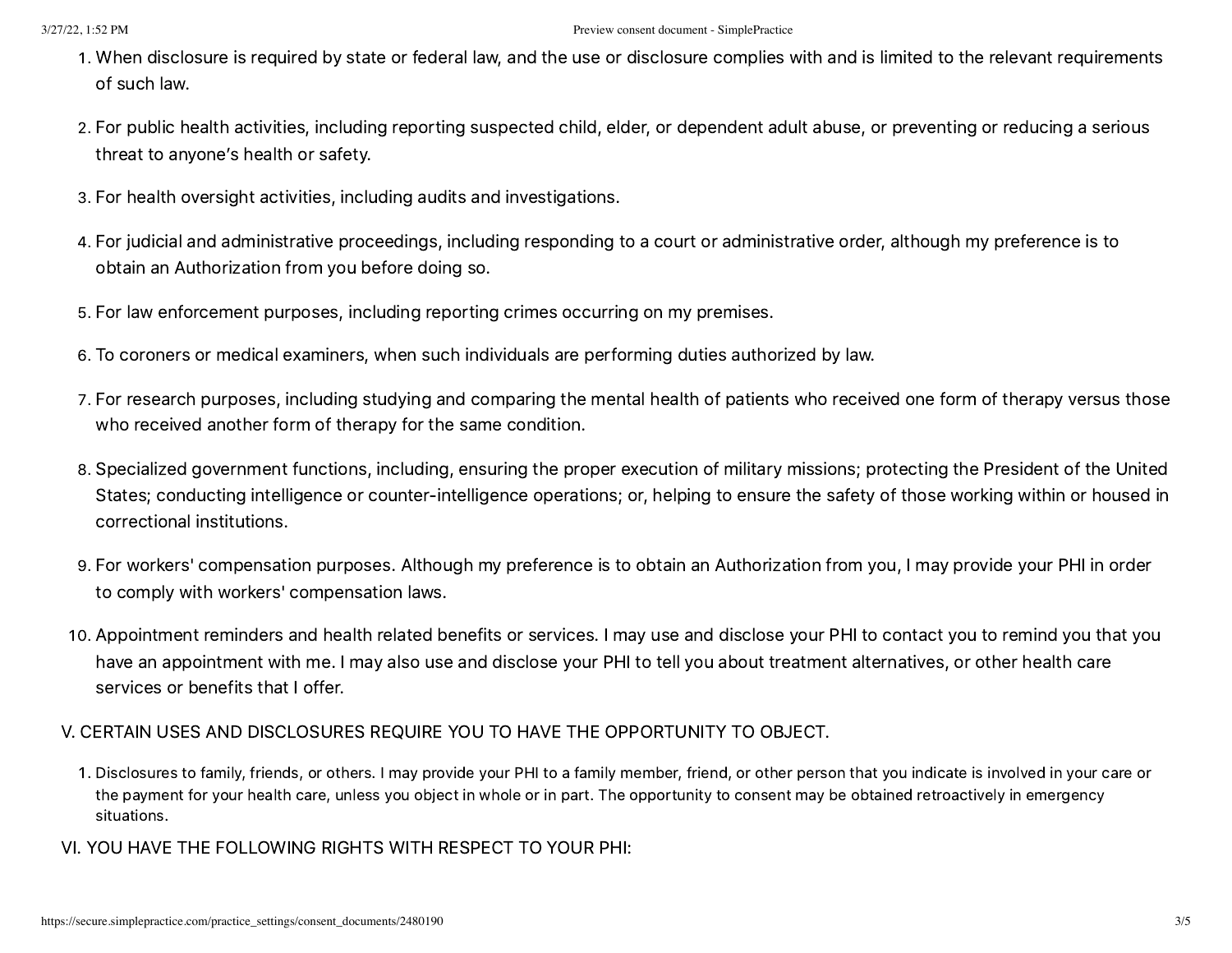- . When disclosure is required by state or federal law, and the use or disclosure complies with and is limited to the relevant requirements of such law.
- . For public health activities, including reporting suspected child, elder, or dependent adult abuse, or preventing or reducing a serious threat to anyone's health or safety.
- . For health oversight activities, including audits and investigations.
- . For judicial and administrative proceedings, including responding to a court or administrative order, although my preference is to obtain an Authorization from you before doing so.
- . For law enforcement purposes, including reporting crimes occurring on my premises.
- . To coroners or medical examiners, when such individuals are performing duties authorized by law.
- . For research purposes, including studying and comparing the mental health of patients who received one form of therapy versus those who received another form of therapy for the same condition.
- . Specialized government functions, including, ensuring the proper execution of military missions; protecting the President of the United States; conducting intelligence or counter-intelligence operations; or, helping to ensure the safety of those working within or housed in correctional institutions.
- . For workers' compensation purposes. Although my preference is to obtain an Authorization from you, I may provide your PHI in order to comply with workers' compensation laws.
- . Appointment reminders and health related benefits or services. I may use and disclose your PHI to contact you to remind you that you have an appointment with me. I may also use and disclose your PHI to tell you about treatment alternatives, or other health care services or benefits that I offer.

## V. CERTAIN USES AND DISCLOSURES REQUIRE YOU TO HAVE THE OPPORTUNITY TO OBJECT.

- . Disclosures to family, friends, or others. I may provide your PHI to a family member, friend, or other person that you indicate is involved in your care or the payment for your health care, unless you object in whole or in part. The opportunity to consent may be obtained retroactively in emergency situations.
- VI. YOU HAVE THE FOLLOWING RIGHTS WITH RESPECT TO YOUR PHI: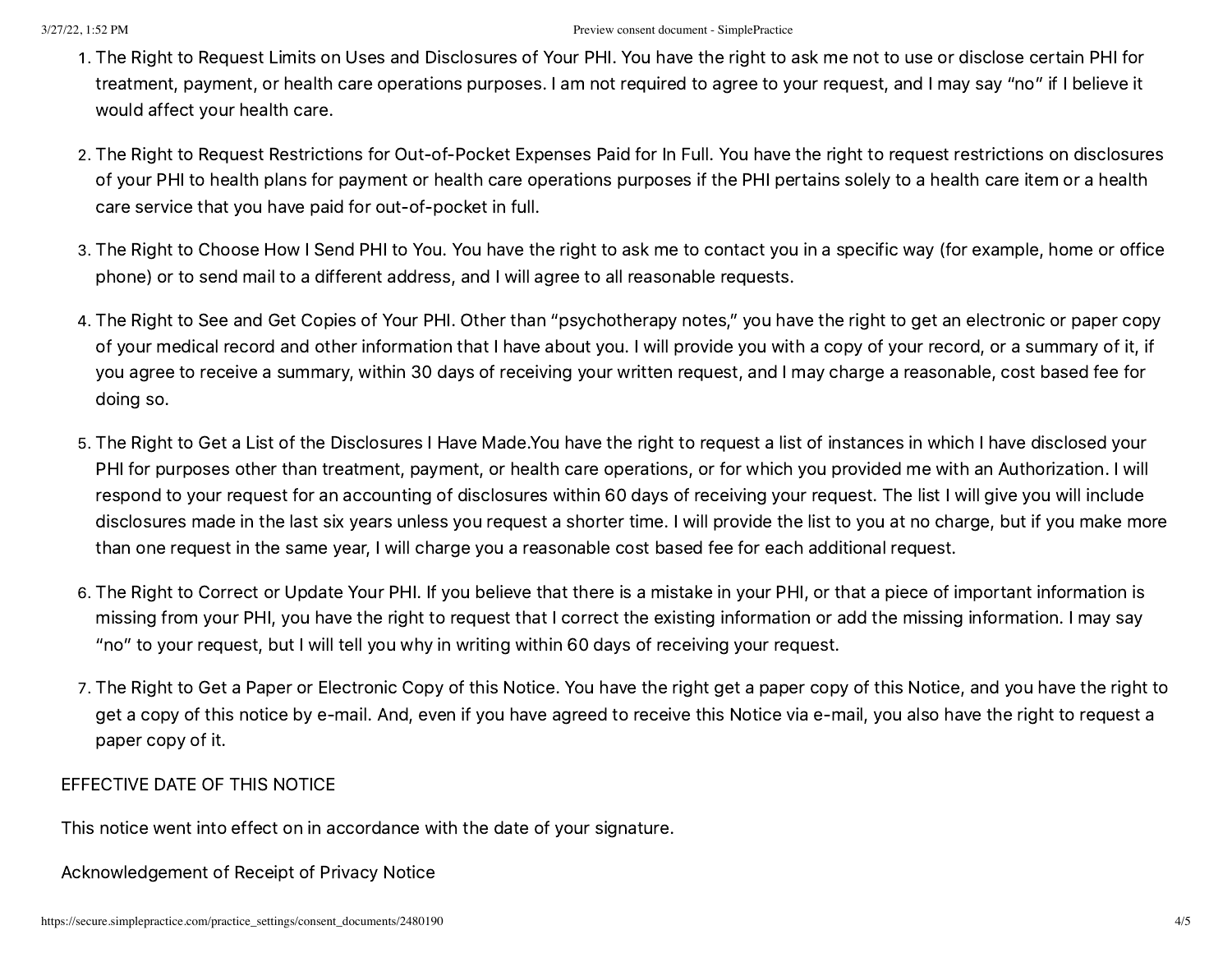- . The Right to Request Limits on Uses and Disclosures of Your PHI. You have the right to ask me not to use or disclose certain PHI for treatment, payment, or health care operations purposes. I am not required to agree to your request, and I may say "no" if I believe it would affect your health care.
- . The Right to Request Restrictions for Out-of-Pocket Expenses Paid for In Full. You have the right to request restrictions on disclosures of your PHI to health plans for payment or health care operations purposes if the PHI pertains solely to a health care item or a health care service that you have paid for out-of-pocket in full.
- . The Right to Choose How I Send PHI to You. You have the right to ask me to contact you in a specific way (for example, home or office phone) or to send mail to a different address, and I will agree to all reasonable requests.
- . The Right to See and Get Copies of Your PHI. Other than "psychotherapy notes," you have the right to get an electronic or paper copy of your medical record and other information that I have about you. I will provide you with a copy of your record, or a summary of it, if you agree to receive a summary, within 30 days of receiving your written request, and I may charge a reasonable, cost based fee for doing so.
- . The Right to Get a List of the Disclosures I Have Made.You have the right to request a list of instances in which I have disclosed your PHI for purposes other than treatment, payment, or health care operations, or for which you provided me with an Authorization. I will respond to your request for an accounting of disclosures within 60 days of receiving your request. The list I will give you will include disclosures made in the last six years unless you request a shorter time. I will provide the list to you at no charge, but if you make more than one request in the same year, I will charge you a reasonable cost based fee for each additional request.
- . The Right to Correct or Update Your PHI. If you believe that there is a mistake in your PHI, or that a piece of important information is missing from your PHI, you have the right to request that I correct the existing information or add the missing information. I may say "no" to your request, but I will tell you why in writing within 60 days of receiving your request.
- . The Right to Get a Paper or Electronic Copy of this Notice. You have the right get a paper copy of this Notice, and you have the right to get a copy of this notice by e-mail. And, even if you have agreed to receive this Notice via e-mail, you also have the right to request a paper copy of it.

### EFFECTIVE DATE OF THIS NOTICE

This notice went into effect on in accordance with the date of your signature.

Acknowledgement of Receipt of Privacy Notice